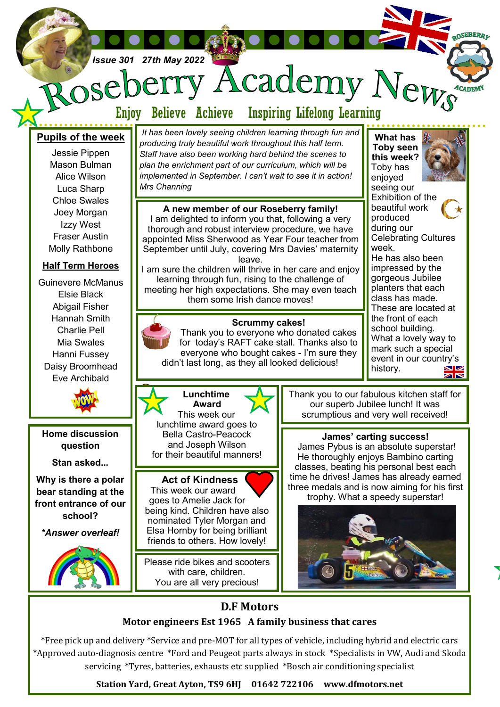

# **D.F Motors**

## **Motor engineers Est 1965 A family business that cares**

\*Free pick up and delivery \*Service and pre-MOT for all types of vehicle, including hybrid and electric cars \*Approved auto-diagnosis centre \*Ford and Peugeot parts always in stock \*Specialists in VW, Audi and Skoda servicing \*Tyres, batteries, exhausts etc supplied \*Bosch air conditioning specialist

**Station Yard, Great Ayton, TS9 6HJ 01642 722106 www.dfmotors.net**